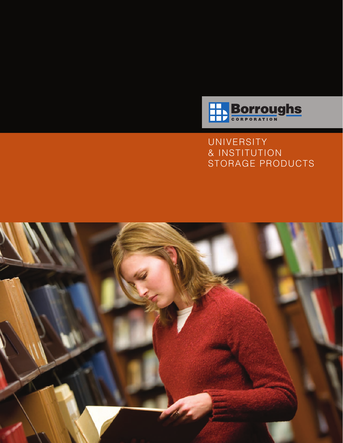

**UNIVERSITY** & INSTITUTION STORAGE PRODUCTS

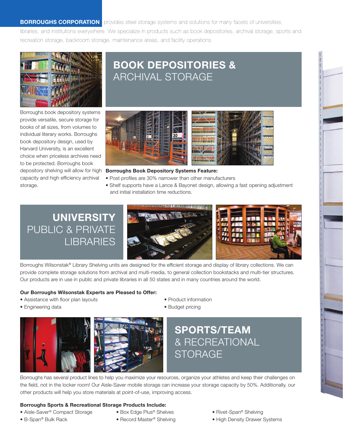**BORROUGHS CORPORATION** provides steel storage systems and solutions for many facets of universities,

libraries, and institutions everywhere. We specialize in products such as book depositories, archival storage, sports and recreation storage, backroom storage, maintenance areas, and facility operations.



## BOOK DEPOSITORIES & ARCHIVAL STORAGE

Borroughs book depository systems provide versatile, secure storage for books of all sizes, from volumes to individual literary works. Borroughs book depository design, used by Harvard University, is an excellent choice when priceless archives need to be protected. Borroughs book depository shelving will allow for high capacity and high efficiency archival storage.



#### Borroughs Book Depository Systems Feature:

- Post profiles are 30% narrower than other manufacturers
- Shelf supports have a Lance & Bayonet design, allowing a fast opening adjustment and initial installation time reductions.

## UNIVERSITY PUBLIC & PRIVATE LIBRARIES





Borroughs Wilsonstak® Library Shelving units are designed for the efficient storage and display of library collections. We can provide complete storage solutions from archival and multi-media, to general collection bookstacks and multi-tier structures. Our products are in use in public and private libraries in all 50 states and in many countries around the world.

#### Our Borroughs Wilsonstak Experts are Pleased to Offer:

• Assistance with floor plan layouts

• Product information

- Engineering data
- 
- 
- Budget pricing



Borroughs has several product lines to help you maximize your resources, organize your athletes and keep their challenges on the field, not in the locker room! Our Aisle-Saver mobile storage can increase your storage capacity by 50%. Additionally, our other products will help you store materials at point-of-use, improving access.

#### Borroughs Sports & Recreational Storage Products Include:

- Aisle-Saver® Compact Storage
- B-Span® Bulk Rack
- Box Edge Plus® Shelves • Record Master<sup>®</sup> Shelving
	-
- Rivet-Span® Shelving
- High Density Drawer Systems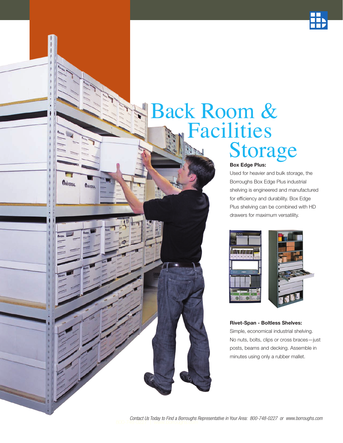

# Back Room & Facilities<br>Storage

**THIVERSAL** 

**THIVERSAL** 

### Box Edge Plus:

Used for heavier and bulk storage, the Borroughs Box Edge Plus industrial shelving is engineered and manufactured for efficiency and durability. Box Edge Plus shelving can be combined with HD drawers for maximum versatility.



#### Rivet-Span - Boltless Shelves:

Simple, economical industrial shelving. No nuts, bolts, clips or cross braces—just posts, beams and decking. Assemble in minutes using only a rubber mallet.